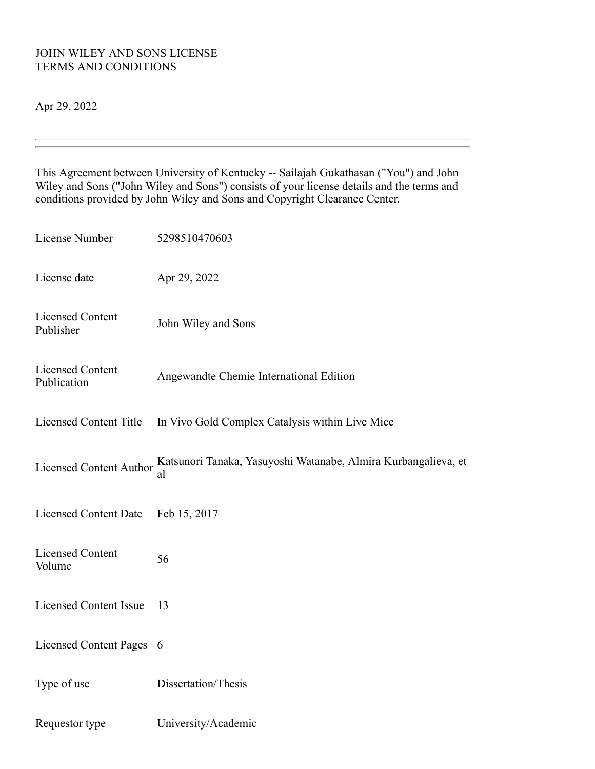#### JOHN WILEY AND SONS LICENSE TERMS AND CONDITIONS

Apr 29, 2022

This Agreement between University of Kentucky -- Sailajah Gukathasan ("You") and John Wiley and Sons ("John Wiley and Sons") consists of your license details and the terms and conditions provided by John Wiley and Sons and Copyright Clearance Center.

| License Number                         | 5298510470603                                                        |
|----------------------------------------|----------------------------------------------------------------------|
| License date                           | Apr 29, 2022                                                         |
| <b>Licensed Content</b><br>Publisher   | John Wiley and Sons                                                  |
| <b>Licensed Content</b><br>Publication | Angewandte Chemie International Edition                              |
| Licensed Content Title                 | In Vivo Gold Complex Catalysis within Live Mice                      |
| Licensed Content Author                | Katsunori Tanaka, Yasuyoshi Watanabe, Almira Kurbangalieva, et<br>al |
| <b>Licensed Content Date</b>           | Feb 15, 2017                                                         |
| <b>Licensed Content</b><br>Volume      | 56                                                                   |
| <b>Licensed Content Issue</b>          | 13                                                                   |
| Licensed Content Pages 6               |                                                                      |
| Type of use                            | Dissertation/Thesis                                                  |
| Requestor type                         | University/Academic                                                  |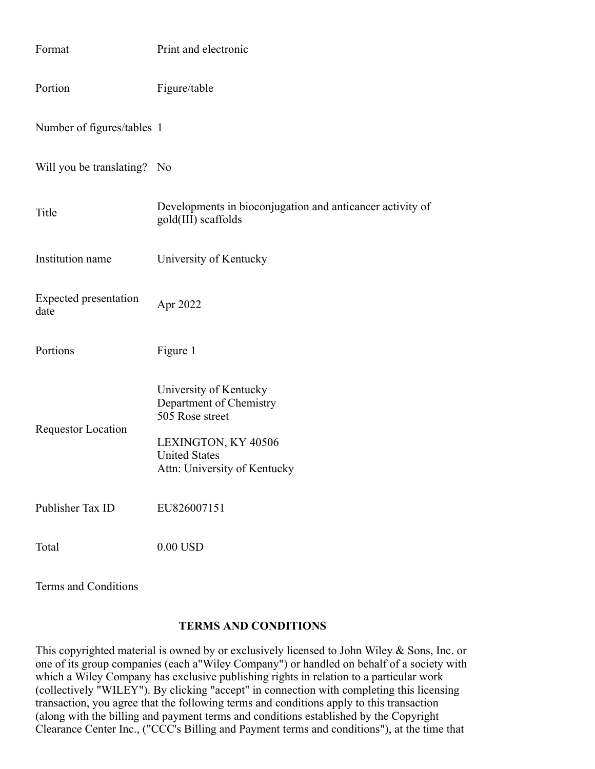| Format                        | Print and electronic                                                                                                                                |
|-------------------------------|-----------------------------------------------------------------------------------------------------------------------------------------------------|
| Portion                       | Figure/table                                                                                                                                        |
| Number of figures/tables 1    |                                                                                                                                                     |
| Will you be translating? No   |                                                                                                                                                     |
| Title                         | Developments in bioconjugation and anticancer activity of<br>gold(III) scaffolds                                                                    |
| Institution name              | University of Kentucky                                                                                                                              |
| Expected presentation<br>date | Apr 2022                                                                                                                                            |
| Portions                      | Figure 1                                                                                                                                            |
| <b>Requestor Location</b>     | University of Kentucky<br>Department of Chemistry<br>505 Rose street<br>LEXINGTON, KY 40506<br><b>United States</b><br>Attn: University of Kentucky |
| Publisher Tax ID              | EU826007151                                                                                                                                         |
| Total                         | $0.00$ USD                                                                                                                                          |

Terms and Conditions

### **TERMS AND CONDITIONS**

This copyrighted material is owned by or exclusively licensed to John Wiley & Sons, Inc. or one of its group companies (each a"Wiley Company") or handled on behalf of a society with which a Wiley Company has exclusive publishing rights in relation to a particular work (collectively "WILEY"). By clicking "accept" in connection with completing this licensing transaction, you agree that the following terms and conditions apply to this transaction (along with the billing and payment terms and conditions established by the Copyright Clearance Center Inc., ("CCC's Billing and Payment terms and conditions"), at the time that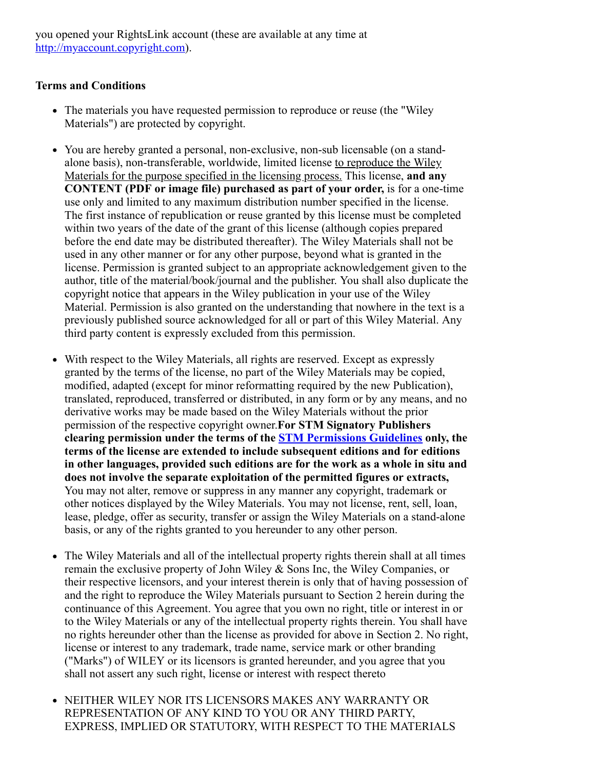you opened your RightsLink account (these are available at any time at [http://myaccount.copyright.com](http://myaccount.copyright.com/)).

#### **Terms and Conditions**

- The materials you have requested permission to reproduce or reuse (the "Wiley Materials") are protected by copyright.
- You are hereby granted a personal, non-exclusive, non-sub licensable (on a standalone basis), non-transferable, worldwide, limited license to reproduce the Wiley Materials for the purpose specified in the licensing process. This license, **and any CONTENT (PDF or image file) purchased as part of your order,** is for a one-time use only and limited to any maximum distribution number specified in the license. The first instance of republication or reuse granted by this license must be completed within two years of the date of the grant of this license (although copies prepared before the end date may be distributed thereafter). The Wiley Materials shall not be used in any other manner or for any other purpose, beyond what is granted in the license. Permission is granted subject to an appropriate acknowledgement given to the author, title of the material/book/journal and the publisher. You shall also duplicate the copyright notice that appears in the Wiley publication in your use of the Wiley Material. Permission is also granted on the understanding that nowhere in the text is a previously published source acknowledged for all or part of this Wiley Material. Any third party content is expressly excluded from this permission.
- With respect to the Wiley Materials, all rights are reserved. Except as expressly granted by the terms of the license, no part of the Wiley Materials may be copied, modified, adapted (except for minor reformatting required by the new Publication), translated, reproduced, transferred or distributed, in any form or by any means, and no derivative works may be made based on the Wiley Materials without the prior permission of the respective copyright owner.**For STM Signatory Publishers clearing permission under the terms of the [STM Permissions Guidelines](http://www.stm-assoc.org/copyright-legal-affairs/permissions/permissions-guidelines/) only, the terms of the license are extended to include subsequent editions and for editions in other languages, provided such editions are for the work as a whole in situ and does not involve the separate exploitation of the permitted figures or extracts,** You may not alter, remove or suppress in any manner any copyright, trademark or other notices displayed by the Wiley Materials. You may not license, rent, sell, loan, lease, pledge, offer as security, transfer or assign the Wiley Materials on a stand-alone basis, or any of the rights granted to you hereunder to any other person.
- The Wiley Materials and all of the intellectual property rights therein shall at all times remain the exclusive property of John Wiley & Sons Inc, the Wiley Companies, or their respective licensors, and your interest therein is only that of having possession of and the right to reproduce the Wiley Materials pursuant to Section 2 herein during the continuance of this Agreement. You agree that you own no right, title or interest in or to the Wiley Materials or any of the intellectual property rights therein. You shall have no rights hereunder other than the license as provided for above in Section 2. No right, license or interest to any trademark, trade name, service mark or other branding ("Marks") of WILEY or its licensors is granted hereunder, and you agree that you shall not assert any such right, license or interest with respect thereto
- NEITHER WILEY NOR ITS LICENSORS MAKES ANY WARRANTY OR REPRESENTATION OF ANY KIND TO YOU OR ANY THIRD PARTY, EXPRESS, IMPLIED OR STATUTORY, WITH RESPECT TO THE MATERIALS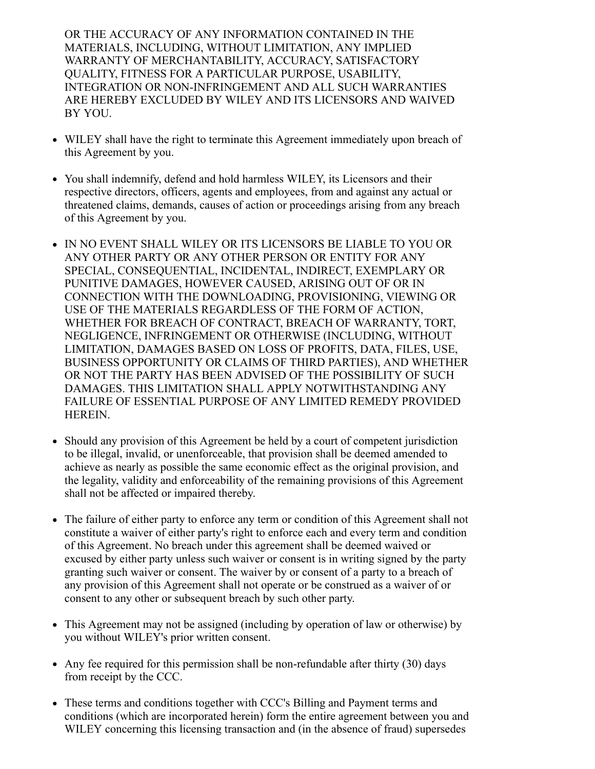OR THE ACCURACY OF ANY INFORMATION CONTAINED IN THE MATERIALS, INCLUDING, WITHOUT LIMITATION, ANY IMPLIED WARRANTY OF MERCHANTABILITY, ACCURACY, SATISFACTORY QUALITY, FITNESS FOR A PARTICULAR PURPOSE, USABILITY, INTEGRATION OR NON-INFRINGEMENT AND ALL SUCH WARRANTIES ARE HEREBY EXCLUDED BY WILEY AND ITS LICENSORS AND WAIVED BY YOU.

- WILEY shall have the right to terminate this Agreement immediately upon breach of this Agreement by you.
- You shall indemnify, defend and hold harmless WILEY, its Licensors and their respective directors, officers, agents and employees, from and against any actual or threatened claims, demands, causes of action or proceedings arising from any breach of this Agreement by you.
- IN NO EVENT SHALL WILEY OR ITS LICENSORS BE LIABLE TO YOU OR ANY OTHER PARTY OR ANY OTHER PERSON OR ENTITY FOR ANY SPECIAL, CONSEQUENTIAL, INCIDENTAL, INDIRECT, EXEMPLARY OR PUNITIVE DAMAGES, HOWEVER CAUSED, ARISING OUT OF OR IN CONNECTION WITH THE DOWNLOADING, PROVISIONING, VIEWING OR USE OF THE MATERIALS REGARDLESS OF THE FORM OF ACTION, WHETHER FOR BREACH OF CONTRACT, BREACH OF WARRANTY, TORT, NEGLIGENCE, INFRINGEMENT OR OTHERWISE (INCLUDING, WITHOUT LIMITATION, DAMAGES BASED ON LOSS OF PROFITS, DATA, FILES, USE, BUSINESS OPPORTUNITY OR CLAIMS OF THIRD PARTIES), AND WHETHER OR NOT THE PARTY HAS BEEN ADVISED OF THE POSSIBILITY OF SUCH DAMAGES. THIS LIMITATION SHALL APPLY NOTWITHSTANDING ANY FAILURE OF ESSENTIAL PURPOSE OF ANY LIMITED REMEDY PROVIDED HEREIN.
- Should any provision of this Agreement be held by a court of competent jurisdiction to be illegal, invalid, or unenforceable, that provision shall be deemed amended to achieve as nearly as possible the same economic effect as the original provision, and the legality, validity and enforceability of the remaining provisions of this Agreement shall not be affected or impaired thereby.
- The failure of either party to enforce any term or condition of this Agreement shall not constitute a waiver of either party's right to enforce each and every term and condition of this Agreement. No breach under this agreement shall be deemed waived or excused by either party unless such waiver or consent is in writing signed by the party granting such waiver or consent. The waiver by or consent of a party to a breach of any provision of this Agreement shall not operate or be construed as a waiver of or consent to any other or subsequent breach by such other party.
- This Agreement may not be assigned (including by operation of law or otherwise) by you without WILEY's prior written consent.
- Any fee required for this permission shall be non-refundable after thirty (30) days from receipt by the CCC.
- These terms and conditions together with CCC's Billing and Payment terms and conditions (which are incorporated herein) form the entire agreement between you and WILEY concerning this licensing transaction and (in the absence of fraud) supersedes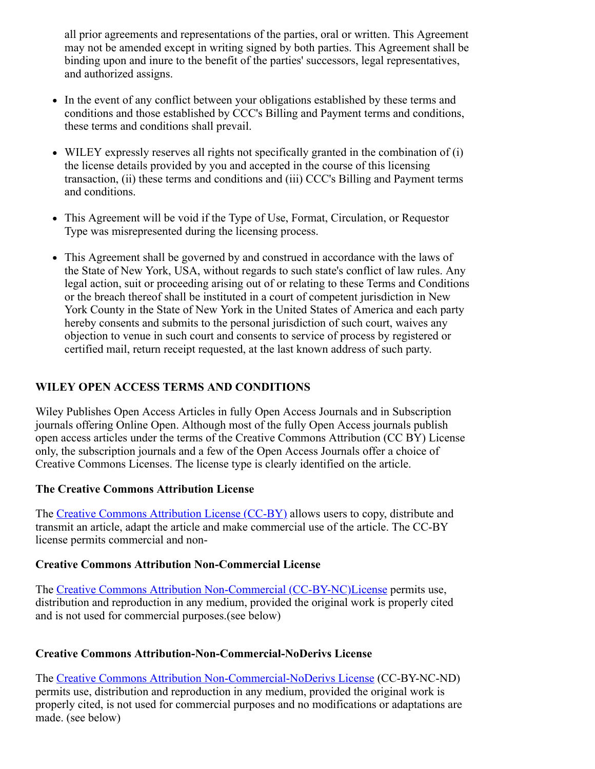all prior agreements and representations of the parties, oral or written. This Agreement may not be amended except in writing signed by both parties. This Agreement shall be binding upon and inure to the benefit of the parties' successors, legal representatives, and authorized assigns.

- In the event of any conflict between your obligations established by these terms and conditions and those established by CCC's Billing and Payment terms and conditions, these terms and conditions shall prevail.
- WILEY expressly reserves all rights not specifically granted in the combination of (i) the license details provided by you and accepted in the course of this licensing transaction, (ii) these terms and conditions and (iii) CCC's Billing and Payment terms and conditions.
- This Agreement will be void if the Type of Use, Format, Circulation, or Requestor Type was misrepresented during the licensing process.
- This Agreement shall be governed by and construed in accordance with the laws of the State of New York, USA, without regards to such state's conflict of law rules. Any legal action, suit or proceeding arising out of or relating to these Terms and Conditions or the breach thereof shall be instituted in a court of competent jurisdiction in New York County in the State of New York in the United States of America and each party hereby consents and submits to the personal jurisdiction of such court, waives any objection to venue in such court and consents to service of process by registered or certified mail, return receipt requested, at the last known address of such party.

# **WILEY OPEN ACCESS TERMS AND CONDITIONS**

Wiley Publishes Open Access Articles in fully Open Access Journals and in Subscription journals offering Online Open. Although most of the fully Open Access journals publish open access articles under the terms of the Creative Commons Attribution (CC BY) License only, the subscription journals and a few of the Open Access Journals offer a choice of Creative Commons Licenses. The license type is clearly identified on the article.

### **The Creative Commons Attribution License**

The [Creative Commons Attribution License \(CC-BY\)](http://creativecommons.org/licenses/by/3.0/) allows users to copy, distribute and transmit an article, adapt the article and make commercial use of the article. The CC-BY license permits commercial and non-

#### **Creative Commons Attribution Non-Commercial License**

The [Creative Commons Attribution Non-Commercial \(CC-BY-NC\)License](http://creativecommons.org/licenses/by-nc/3.0/) permits use, distribution and reproduction in any medium, provided the original work is properly cited and is not used for commercial purposes.(see below)

### **Creative Commons Attribution-Non-Commercial-NoDerivs License**

The [Creative Commons Attribution Non-Commercial-NoDerivs License](http://creativecommons.org/licenses/by-nc-nd/3.0/) (CC-BY-NC-ND) permits use, distribution and reproduction in any medium, provided the original work is properly cited, is not used for commercial purposes and no modifications or adaptations are made. (see below)